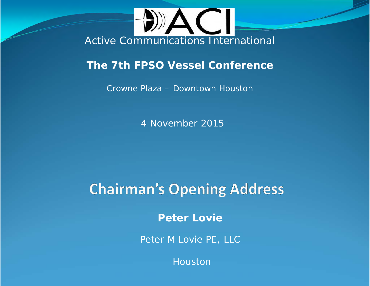

#### **The 7th FPSO Vessel Conference**

Crowne Plaza – Downtown Houston

4 November 2015

# **Chairman's Opening Address**

**Peter Lovie**

Peter M Lovie PE, LLC

Houston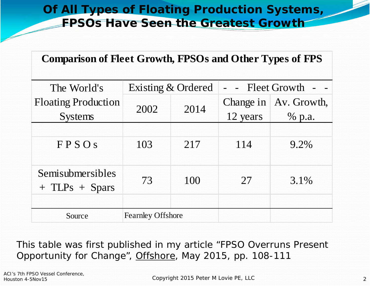## **Of All Types of Floating Production Systems, FPSOs Have Seen the Greatest Growth**

| <b>Comparison of Fleet Growth, FPSOs and Other Types of FPS</b> |                          |      |                  |                         |
|-----------------------------------------------------------------|--------------------------|------|------------------|-------------------------|
| The World's                                                     | Existing & Ordered       |      | - - Fleet Growth |                         |
| <b>Floating Production</b>                                      | 2002                     | 2014 |                  | Change in   Av. Growth, |
| <b>Systems</b>                                                  |                          |      | 12 years         | % p.a.                  |
| <b>FPSOS</b>                                                    | 103                      | 217  | 114              | 9.2%                    |
| Semisubmersibles<br>$+$ TLPs $+$ Spars                          | 73                       | 100  | 27               | 3.1%                    |
| Source                                                          | <b>Fearnley Offshore</b> |      |                  |                         |

This table was first published in my article "FPSO Overruns Present Opportunity for Change", Offshore, May 2015, pp. 108-111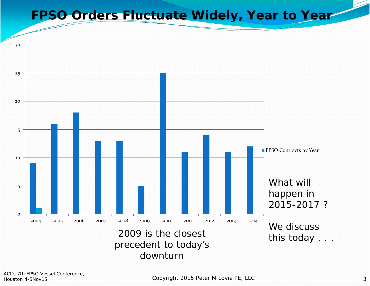### **FPSO Orders Fluctuate Widely, Year to Year**

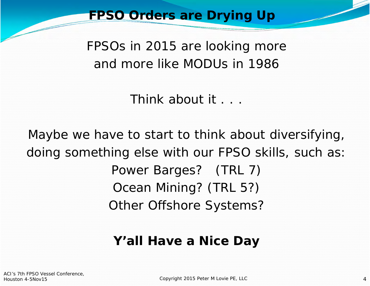### **FPSO Orders are Drying Up**

FPSOs in 2015 are looking more and more like MODUs in 1986

Think about it . . .

Maybe we have to start to think about diversifying, doing something else with our FPSO skills, such as: *Power Barges? (TRL 7) Ocean Mining? (TRL 5?) Other Offshore Systems?*

## **Y'all Have a Nice Day**